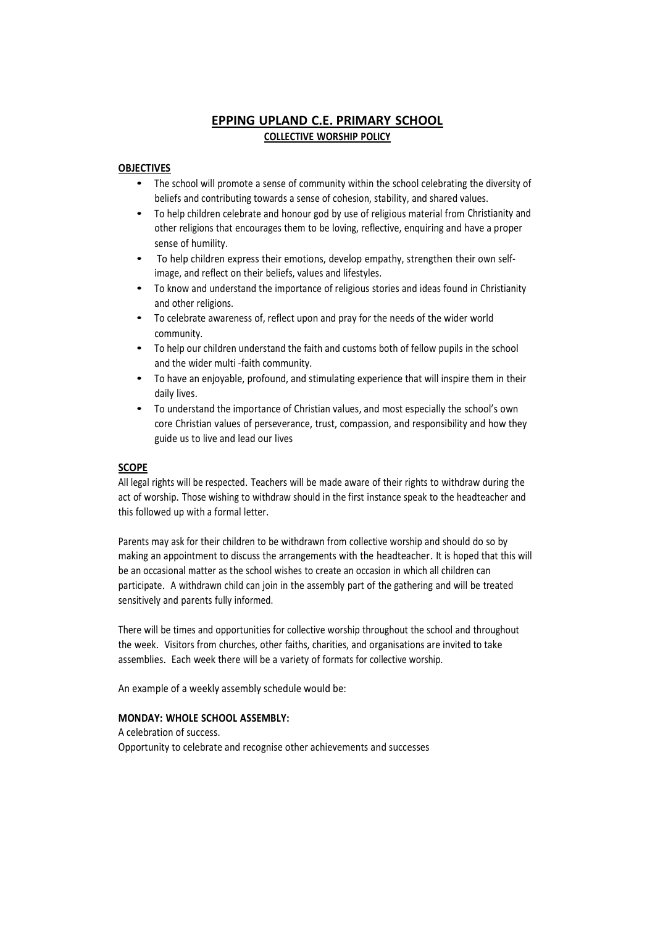# EPPING UPLAND C.E. PRIMARY SCHOOL COLLECTIVE WORSHIP POLICY

## **OBJECTIVES**

- The school will promote a sense of community within the school celebrating the diversity of beliefs and contributing towards a sense of cohesion, stability, and shared values.
- To help children celebrate and honour god by use of religious material from Christianity and other religions that encourages them to be loving, reflective, enquiring and have a proper sense of humility.
- To help children express their emotions, develop empathy, strengthen their own selfimage, and reflect on their beliefs, values and lifestyles.
- To know and understand the importance of religious stories and ideas found in Christianity and other religions.
- To celebrate awareness of, reflect upon and pray for the needs of the wider world community.
- To help our children understand the faith and customs both of fellow pupils in the school and the wider multi -faith community.
- To have an enjoyable, profound, and stimulating experience that will inspire them in their daily lives.
- To understand the importance of Christian values, and most especially the school's own core Christian values of perseverance, trust, compassion, and responsibility and how they guide us to live and lead our lives

## **SCOPE**

All legal rights will be respected. Teachers will be made aware of their rights to withdraw during the act of worship. Those wishing to withdraw should in the first instance speak to the headteacher and this followed up with a formal letter.

Parents may ask for their children to be withdrawn from collective worship and should do so by making an appointment to discuss the arrangements with the headteacher. It is hoped that this will be an occasional matter as the school wishes to create an occasion in which all children can participate. A withdrawn child can join in the assembly part of the gathering and will be treated sensitively and parents fully informed.

There will be times and opportunities for collective worship throughout the school and throughout the week. Visitors from churches, other faiths, charities, and organisations are invited to take assemblies. Each week there will be a variety of formats for collective worship.

An example of a weekly assembly schedule would be:

# MONDAY: WHOLE SCHOOL ASSEMBLY:

A celebration of success. Opportunity to celebrate and recognise other achievements and successes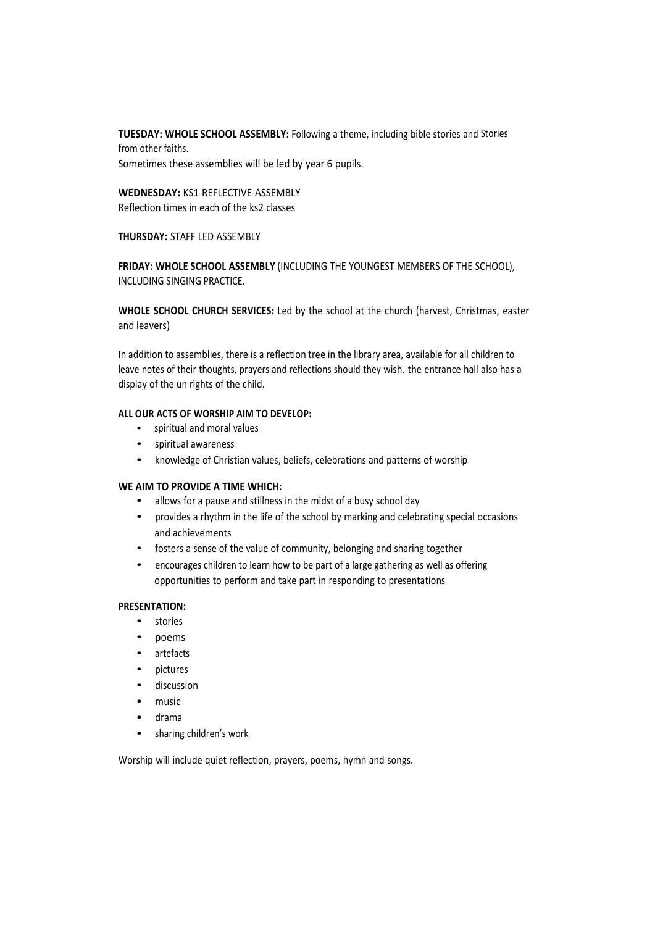TUESDAY: WHOLE SCHOOL ASSEMBLY: Following a theme, including bible stories and Stories from other faiths.

Sometimes these assemblies will be led by year 6 pupils.

WEDNESDAY: KS1 RFFLECTIVE ASSEMBLY Reflection times in each of the ks2 classes

THURSDAY: STAFF LED ASSEMBLY

FRIDAY: WHOLE SCHOOL ASSEMBLY (INCLUDING THE YOUNGEST MEMBERS OF THE SCHOOL), INCLUDING SINGING PRACTICE.

WHOLE SCHOOL CHURCH SERVICES: Led by the school at the church (harvest, Christmas, easter and leavers)

In addition to assemblies, there is a reflection tree in the library area, available for all children to leave notes of their thoughts, prayers and reflections should they wish. the entrance hall also has a display of the un rights of the child.

#### ALL OUR ACTS OF WORSHIP AIM TO DEVELOP:

- spiritual and moral values
- spiritual awareness
- knowledge of Christian values, beliefs, celebrations and patterns of worship

## WE AIM TO PROVIDE A TIME WHICH:

- allows for a pause and stillness in the midst of a busy school day
- provides a rhythm in the life of the school by marking and celebrating special occasions and achievements
- fosters a sense of the value of community, belonging and sharing together
- encourages children to learn how to be part of a large gathering as well as offering opportunities to perform and take part in responding to presentations

#### PRESENTATION:

- stories
- poems
- artefacts
- pictures
- discussion
- music
- drama
- sharing children's work

Worship will include quiet reflection, prayers, poems, hymn and songs.